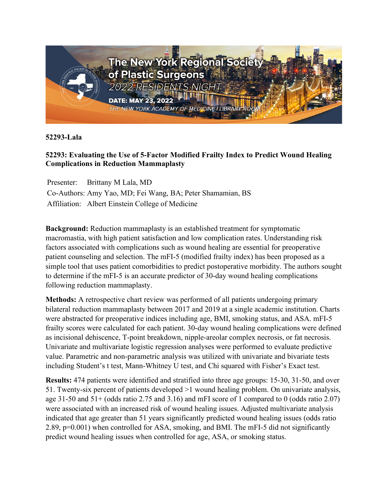

**52293-Lala**

## **52293: Evaluating the Use of 5-Factor Modified Frailty Index to Predict Wound Healing Complications in Reduction Mammaplasty**

Presenter: Brittany M Lala, MD Co-Authors: Amy Yao, MD; Fei Wang, BA; Peter Shamamian, BS Affiliation: Albert Einstein College of Medicine

**Background:** Reduction mammaplasty is an established treatment for symptomatic macromastia, with high patient satisfaction and low complication rates. Understanding risk factors associated with complications such as wound healing are essential for preoperative patient counseling and selection. The mFI-5 (modified frailty index) has been proposed as a simple tool that uses patient comorbidities to predict postoperative morbidity. The authors sought to determine if the mFI-5 is an accurate predictor of 30-day wound healing complications following reduction mammaplasty.

**Methods:** A retrospective chart review was performed of all patients undergoing primary bilateral reduction mammaplasty between 2017 and 2019 at a single academic institution. Charts were abstracted for preoperative indices including age, BMI, smoking status, and ASA. mFI-5 frailty scores were calculated for each patient. 30-day wound healing complications were defined as incisional dehiscence, T-point breakdown, nipple-areolar complex necrosis, or fat necrosis. Univariate and multivariate logistic regression analyses were performed to evaluate predictive value. Parametric and non-parametric analysis was utilized with univariate and bivariate tests including Student's t test, Mann-Whitney U test, and Chi squared with Fisher's Exact test.

**Results:** 474 patients were identified and stratified into three age groups: 15-30, 31-50, and over 51. Twenty-six percent of patients developed >1 wound healing problem. On univariate analysis, age 31-50 and 51+ (odds ratio 2.75 and 3.16) and mFI score of 1 compared to 0 (odds ratio 2.07) were associated with an increased risk of wound healing issues. Adjusted multivariate analysis indicated that age greater than 51 years significantly predicted wound healing issues (odds ratio 2.89, p=0.001) when controlled for ASA, smoking, and BMI. The mFI-5 did not significantly predict wound healing issues when controlled for age, ASA, or smoking status.